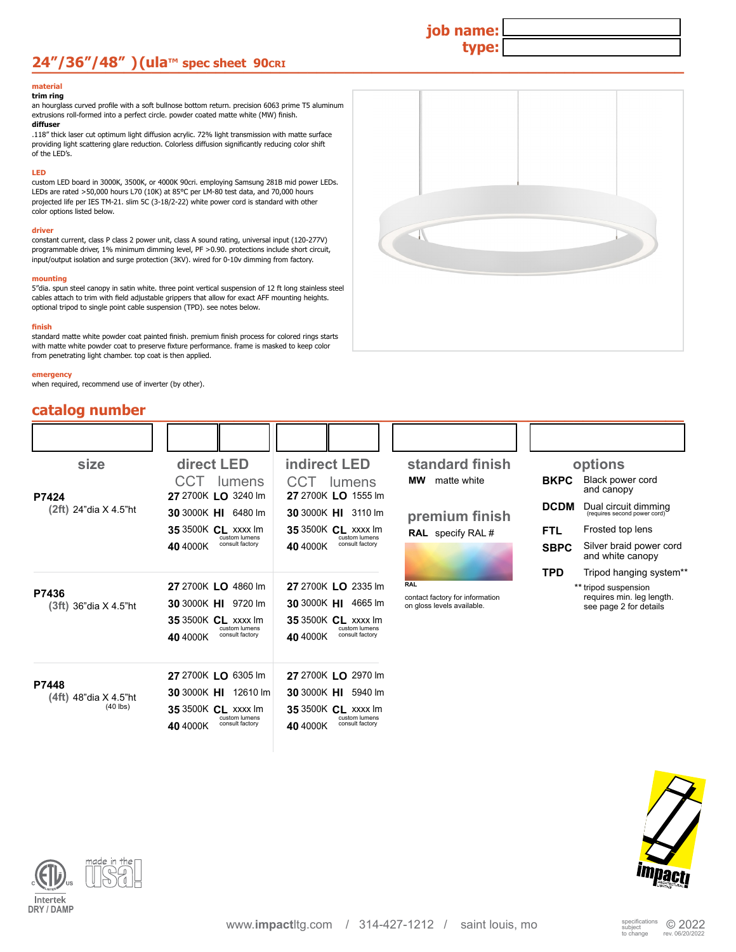## **24"/36"/48" )(ula**™ spec sheet 90cxx → Decay and Decay and Decay and Decay and Decay and Decay and Decay and Decay and Decay and Decay and Decay and Decay and Decay and Decay and Decay and Decay and Decay and Decay and D

#### **material trim ring**

an hourglass curved profile with a soft bullnose bottom return. precision 6063 prime T5 aluminum extrusions roll-formed into a perfect circle. powder coated matte white (MW) finish. **diffuser**

.118" thick laser cut optimum light diffusion acrylic. 72% light transmission with matte surface providing light scattering glare reduction. Colorless diffusion significantly reducing color shift of the LED's.

#### **LED**

custom LED board in 3000K, 3500K, or 4000K 90cri. employing Samsung 281B mid power LEDs. LEDs are rated >50,000 hours L70 (10K) at 85°C per LM-80 test data, and 70,000 hours projected life per IES TM-21. slim 5C (3-18/2-22) white power cord is standard with other color options listed below.

### **driver**

constant current, class P class 2 power unit, class A sound rating, universal input (120-277V) programmable driver, 1% minimum dimming level, PF >0.90. protections include short circuit, input/output isolation and surge protection (3KV). wired for 0-10v dimming from factory.

#### **mounting**

5"dia. spun steel canopy in satin white. three point vertical suspension of 12 ft long stainless steel cables attach to trim with field adjustable grippers that allow for exact AFF mounting heights. optional tripod to single point cable suspension (TPD). see notes below.

#### **finish**

standard matte white powder coat painted finish. premium finish process for colored rings starts with matte white powder coat to preserve fixture performance. frame is masked to keep color from penetrating light chamber. top coat is then applied.

**LO** 6305 lm **27**  2700K **HI** 12610 lm **30** 3000K **CL** xxxx lm **35** 3500K

custom lumens consult factory **40** 4000K

custom lumens consult factory **40** 4000K

**LO** 2970 lm **27**  2700K **HI** 5940 lm **30** 3000K **CL** xxxx lm **35** 3500K

#### **emergency**

**P7424**

**P7436**

**P7448**

when required, recommend use of inverter (by other).

## **catalog number and the set of the set of the set of the set of the set of the set of the set of the set of the set of the set of the set of the set of the set of the set of the set of the set of the set of the set of th**

 **(2ft)** 24"dia X 4.5"ht

 **(3ft)** 36"dia X 4.5"ht

 **(4ft)** 48"dia X 4.5"ht

(40 lbs)



**job name:**

**type:**

| size           | direct LED                                  | <b>indirect LED</b>                         | standard finish                                               |             | options                                              |
|----------------|---------------------------------------------|---------------------------------------------|---------------------------------------------------------------|-------------|------------------------------------------------------|
|                | CCT<br>lumens<br>27 2700K LO 3240 lm        | CCT.<br>lumens<br>27 2700K LO 1555 Im       | matte white<br><b>MW</b>                                      | <b>BKPC</b> | Black power cord<br>and canopy                       |
| 4"dia X 4.5"ht | 30 3000K HI 6480 lm                         | 30 3000K HI 3110 lm                         | premium finish                                                | <b>DCDM</b> | Dual circuit dimming<br>(requires second power cord) |
|                | <b>35 3500K CL xxxx lm</b><br>custom lumens | <b>35 3500K CL xxxx Im</b><br>custom lumens | <b>RAL</b> specify RAL #                                      | FTL.        | Frosted top lens                                     |
|                | consult factory<br>40 4000K                 | consult factory<br>40 4000K                 |                                                               | <b>SBPC</b> | Silver braid power cord<br>and white canopy          |
|                |                                             |                                             |                                                               | <b>TPD</b>  | Tripod hanging system**                              |
|                | 27 2700K LO 4860 lm                         | 27 2700K LO 2335 lm                         | <b>RAL</b>                                                    |             | ** tripod suspension                                 |
| 6"dia X 4.5"ht | 30 3000K HI 9720 lm                         | 30 3000K HI 4665 lm                         | contact factory for information<br>on gloss levels available. |             | requires min. leg length.<br>see page 2 for details  |
|                | <b>35 3500K CL xxxx lm</b><br>custom lumens | <b>35 3500K CL xxxx Im</b><br>custom lumens |                                                               |             |                                                      |
|                | consult factory<br>40 4000K                 | consult factory<br>40 4000K                 |                                                               |             |                                                      |
|                |                                             |                                             |                                                               |             |                                                      |



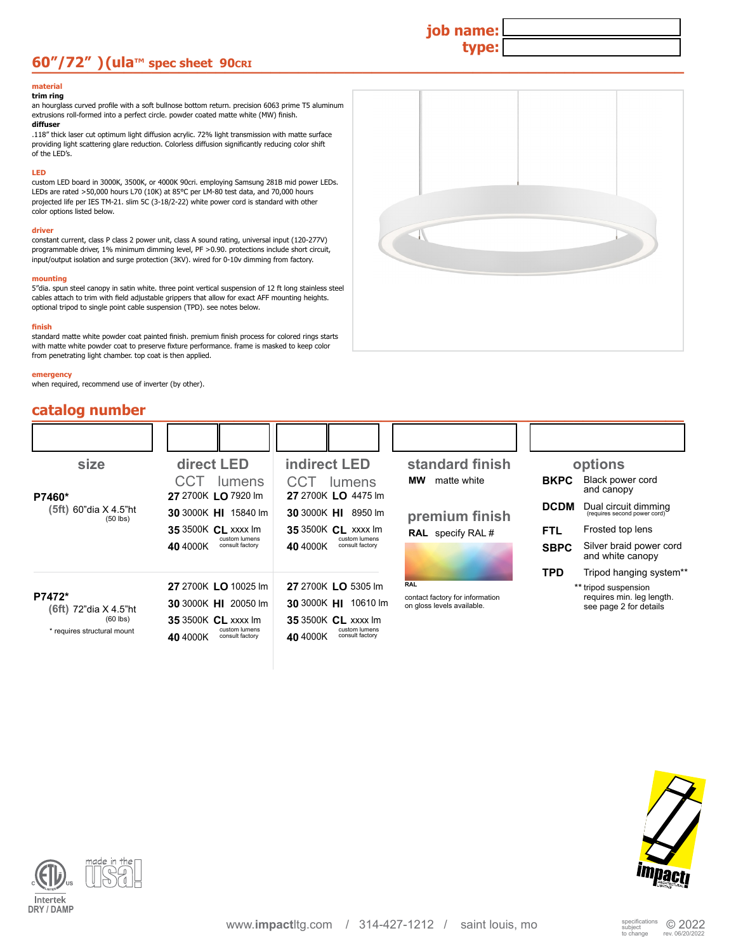## **60"/72" ) (ula**™ spec sheet 90cx and a strategy of the strategy of the strategy of the strategy of the strategy of the strategy of the strategy of the strategy of the strategy of the strategy of the strategy of the strat

#### **material trim ring**

an hourglass curved profile with a soft bullnose bottom return. precision 6063 prime T5 aluminum extrusions roll-formed into a perfect circle. powder coated matte white (MW) finish. **diffuser**

.118" thick laser cut optimum light diffusion acrylic. 72% light transmission with matte surface providing light scattering glare reduction. Colorless diffusion significantly reducing color shift of the LED's.

### **LED**

custom LED board in 3000K, 3500K, or 4000K 90cri. employing Samsung 281B mid power LEDs. LEDs are rated >50,000 hours L70 (10K) at 85°C per LM-80 test data, and 70,000 hours projected life per IES TM-21. slim 5C (3-18/2-22) white power cord is standard with other color options listed below.

#### **driver**

constant current, class P class 2 power unit, class A sound rating, universal input (120-277V) programmable driver, 1% minimum dimming level, PF >0.90. protections include short circuit, input/output isolation and surge protection (3KV). wired for 0-10v dimming from factory.

### **mounting**

5"dia. spun steel canopy in satin white. three point vertical suspension of 12 ft long stainless steel cables attach to trim with field adjustable grippers that allow for exact AFF mounting heights. optional tripod to single point cable suspension (TPD). see notes below.

### **finish**

standard matte white powder coat painted finish. premium finish process for colored rings starts with matte white powder coat to preserve fixture performance. frame is masked to keep color from penetrating light chamber. top coat is then applied.

#### **emergency**

when required, recommend use of inverter (by other).



**job name:**

**type:**

| catalog number                      |                                              |                                              |                                                               |             |                                                      |
|-------------------------------------|----------------------------------------------|----------------------------------------------|---------------------------------------------------------------|-------------|------------------------------------------------------|
|                                     |                                              |                                              |                                                               |             |                                                      |
| size                                | direct LED                                   | <b>indirect LED</b>                          | standard finish                                               |             | options                                              |
| P7460*                              | CCT<br><b>lumens</b><br>27 2700K LO 7920 lm  | CCT<br>lumens<br>27 2700K LO 4475 lm         | matte white<br>MW.                                            | <b>BKPC</b> | Black power cord<br>and canopy                       |
| (5ft) 60"dia X 4.5"ht<br>$(50$ lbs) | 30 3000K HI 15840 lm                         | 30 3000K HI 8950 lm                          | premium finish                                                | <b>DCDM</b> | Dual circuit dimming<br>(requires second power cord) |
|                                     | <b>35 3500K CL xxxx lm</b><br>custom lumens  | <b>35 3500K CL xxxx Im</b><br>custom lumens  | <b>RAL</b> specify RAL #                                      | <b>FTL</b>  | Frosted top lens                                     |
|                                     | consult factory<br>40 4000K                  | consult factory<br>40 4000K                  |                                                               | <b>SBPC</b> | Silver braid power cord<br>and white canopy          |
|                                     |                                              |                                              |                                                               | <b>TPD</b>  | Tripod hanging system**                              |
|                                     | 27 2700K LO 10025 lm                         | 27 2700K LO 5305 lm                          | <b>RAL</b>                                                    |             | ** tripod suspension                                 |
| P7472*<br>(6ft) 72"dia X 4.5"ht     | 30 3000K HI 20050 lm                         | 30 3000K HI 10610 lm                         | contact factory for information<br>on gloss levels available. |             | requires min. leg length.<br>see page 2 for details  |
| $(60$ lbs)                          | <b>35 3500K CL xxxx Im</b>                   | <b>35 3500K CL xxxx Im</b>                   |                                                               |             |                                                      |
| * requires structural mount         | custom lumens<br>consult factory<br>40 4000K | custom lumens<br>consult factory<br>40 4000K |                                                               |             |                                                      |



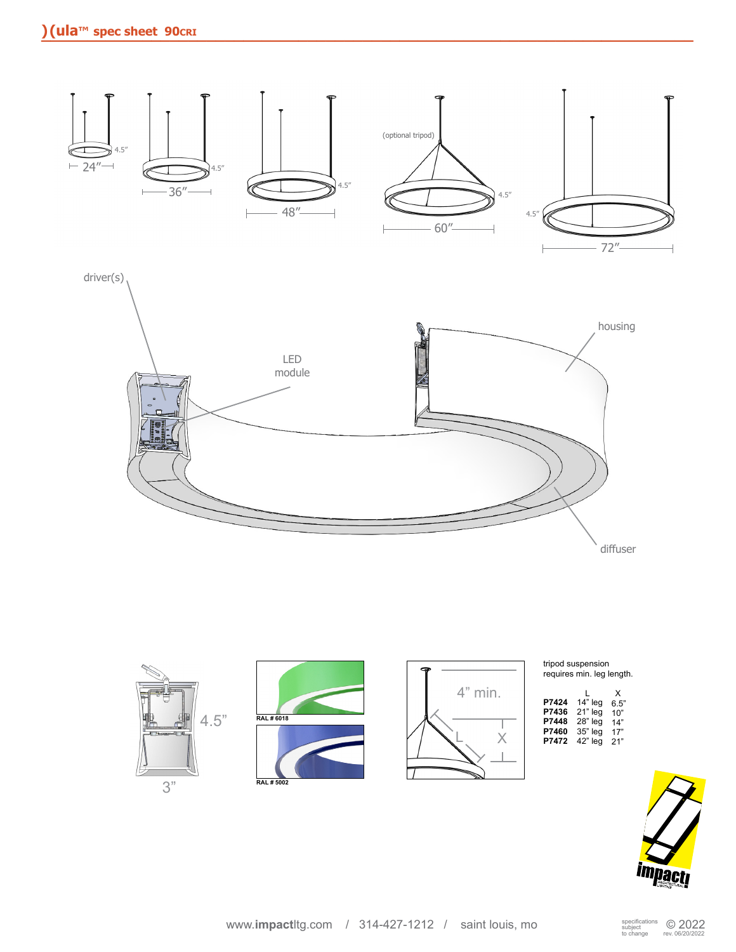



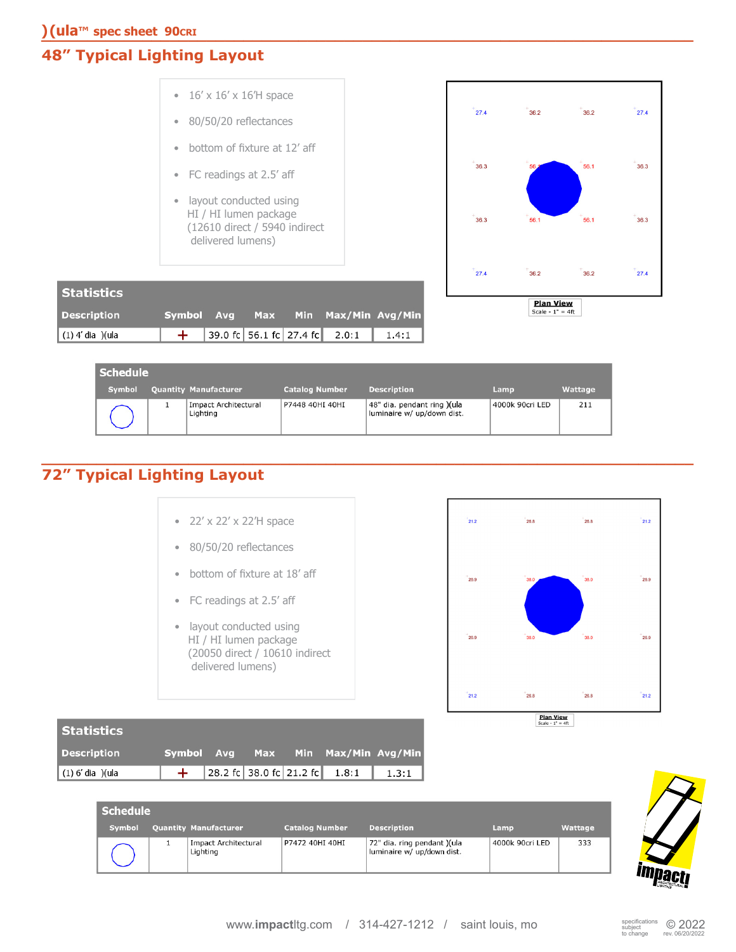## **48" Typical Lighting Layout**



| <b>Symbol</b> | <b>Quantity Manufacturer</b>     | <b>Catalog Number</b> | <b>Description</b>                                        | Lamp            | Wattage |
|---------------|----------------------------------|-----------------------|-----------------------------------------------------------|-----------------|---------|
|               | Impact Architectural<br>Lighting | P7448 40HI 40HI       | 48" dia. pendant ring )(ula<br>luminaire w/ up/down dist. | 4000k 90cri LED | 211     |

### **72" Typical Lighting Layout \_\_\_\_\_\_\_\_\_\_\_\_\_\_\_\_\_\_\_\_\_\_\_\_\_\_\_\_\_\_\_\_\_\_\_\_\_\_\_\_\_\_\_\_\_\_\_\_\_\_\_\_\_\_\_\_\_\_\_\_\_\_\_\_\_\_\_\_\_\_\_**

|  |  |  | • $22' \times 22' \times 22'$ H space |
|--|--|--|---------------------------------------|
|  |  |  |                                       |

- 80/50/20 reflectances
- bottom of fixture at 18' aff
- FC readings at 2.5' aff
- layout conducted using HI / HI lumen package (20050 direct / 10610 indirect delivered lumens)



| Statistics         |  |  |                               |                                    |
|--------------------|--|--|-------------------------------|------------------------------------|
| <b>Description</b> |  |  |                               | Symbol Avg Max Min Max/Min Avg/Min |
| $(1)$ 6' dia )(ula |  |  | 28.2 fc 38.0 fc 21.2 fc 1.8:1 | 1.3:1                              |

| <b>Schedule</b> |  |                                         |                       |                                                           |                 |         |  |  |  |  |
|-----------------|--|-----------------------------------------|-----------------------|-----------------------------------------------------------|-----------------|---------|--|--|--|--|
| <b>Symbol</b>   |  | <b>Quantity Manufacturer</b>            | <b>Catalog Number</b> | <b>Description</b>                                        | Lamp            | Wattage |  |  |  |  |
|                 |  | <b>Impact Architectural</b><br>Lighting | P7472 40HI 40HI       | 72" dia. ring pendant )(ula<br>luminaire w/ up/down dist. | 4000k 90cri LED | 333     |  |  |  |  |

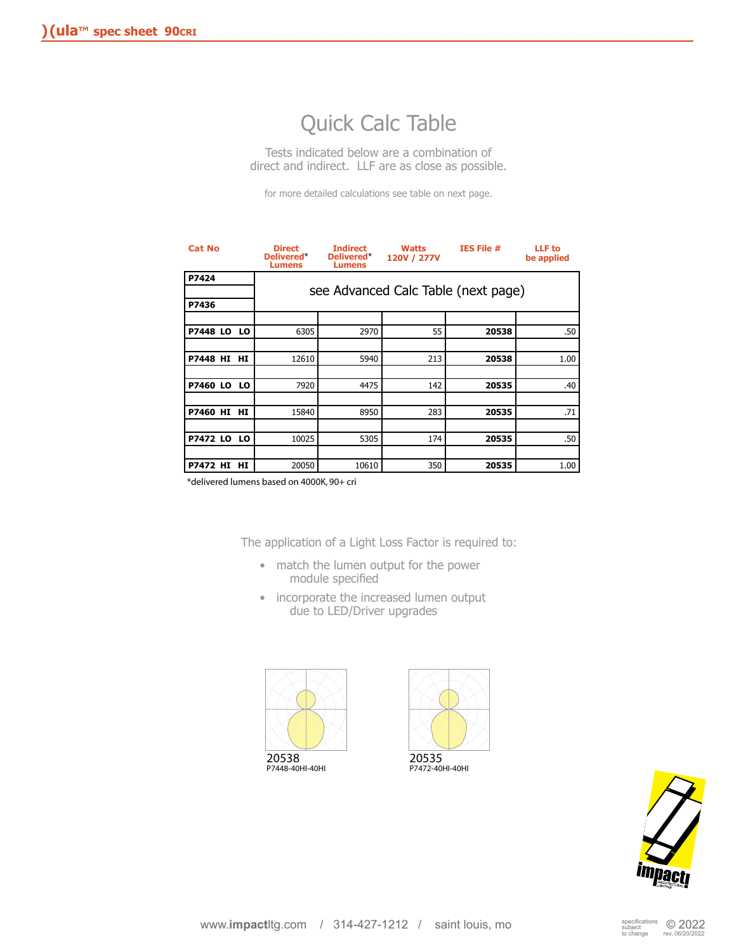# Quick Calc Table

Tests indicated below are a combination of direct and indirect. LLF are as close as possible.

for more detailed calculations see table on next page.

| <b>Cat No</b>      | <b>Direct</b><br><b>Delivered*</b><br><b>Lumens</b> | <b>Indirect</b><br>Delivered*<br><b>Lumens</b> | <b>Watts</b><br>120V / 277V | IES File #                          | <b>LLF</b> to<br>be applied |
|--------------------|-----------------------------------------------------|------------------------------------------------|-----------------------------|-------------------------------------|-----------------------------|
| P7424              |                                                     |                                                |                             | see Advanced Calc Table (next page) |                             |
| P7436              |                                                     |                                                |                             |                                     |                             |
|                    |                                                     |                                                |                             |                                     |                             |
| <b>P7448 LO LO</b> | 6305                                                | 2970                                           | 55                          | 20538                               | .50                         |
|                    |                                                     |                                                |                             |                                     |                             |
| P7448 HI HI        | 12610                                               | 5940                                           | 213                         | 20538                               | 1.00                        |
|                    |                                                     |                                                |                             |                                     |                             |
| <b>P7460 LO LO</b> | 7920                                                | 4475                                           | 142                         | 20535                               | .40                         |
|                    |                                                     |                                                |                             |                                     |                             |
| P7460 HI HI        | 15840                                               | 8950                                           | 283                         | 20535                               | .71                         |
|                    |                                                     |                                                |                             |                                     |                             |
| <b>P7472 LO LO</b> | 10025                                               | 5305                                           | 174                         | 20535                               | .50                         |
|                    |                                                     |                                                |                             |                                     |                             |
| P7472 HI HI        | 20050                                               | 10610                                          | 350                         | 20535                               | 1.00                        |

\*delivered lumens based on 4000K, 90+ cri

The application of a Light Loss Factor is required to:

- match the lumen output for the power module specified
- incorporate the increased lumen output due to LED/Driver upgrades







P7472-40HI-40HI